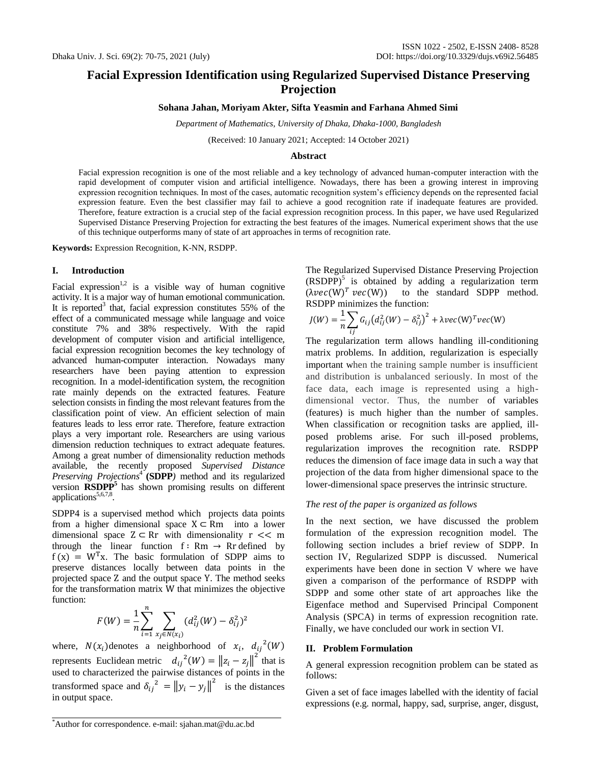# **Facial Expression Identification using Regularized Supervised Distance Preserving Projection**

# **Sohana Jahan, Moriyam Akter, Sifta Yeasmin and Farhana Ahmed Simi**

*Department of Mathematics, University of Dhaka, Dhaka-1000, Bangladesh*

(Received: 10 January 2021; Accepted: 14 October 2021)

#### **Abstract**

Facial expression recognition is one of the most reliable and a key technology of advanced human-computer interaction with the rapid development of computer vision and artificial intelligence. Nowadays, there has been a growing interest in improving expression recognition techniques. In most of the cases, automatic recognition system's efficiency depends on the represented facial expression feature. Even the best classifier may fail to achieve a good recognition rate if inadequate features are provided. Therefore, feature extraction is a crucial step of the facial expression recognition process. In this paper, we have used Regularized Supervised Distance Preserving Projection for extracting the best features of the images. Numerical experiment shows that the use of this technique outperforms many of state of art approaches in terms of recognition rate.

**Keywords:** Expression Recognition, K-NN, RSDPP.

## **I. Introduction**

Facial expression<sup>1,2</sup> is a visible way of human cognitive activity. It is a major way of human emotional communication. It is reported<sup>3</sup> that, facial expression constitutes  $55%$  of the effect of a communicated message while language and voice constitute 7% and 38% respectively. With the rapid development of computer vision and artificial intelligence, facial expression recognition becomes the key technology of advanced human-computer interaction. Nowadays many researchers have been paying attention to expression recognition. In a model-identification system, the recognition rate mainly depends on the extracted features. Feature selection consists in finding the most relevant features from the classification point of view. An efficient selection of main features leads to less error rate. Therefore, feature extraction plays a very important role. Researchers are using various dimension reduction techniques to extract adequate features. Among a great number of dimensionality reduction methods available, the recently proposed *Supervised Distance Preserving Projections*<sup>4</sup> **(SDPP***)* method and its regularized version **RSDPP<sup>5</sup>** has shown promising results on different applications<sup>5,6,7,8</sup>.

SDPP4 is a supervised method which projects data points from a higher dimensional space  $X \subset \mathbb{R}$ m into a lower dimensional space  $Z \subset Rr$  with dimensionality  $r \ll m$ through the linear function  $f: Rm \rightarrow Rr$  defined by  $f(x) = W<sup>T</sup>x$ . The basic formulation of SDPP aims to preserve distances locally between data points in the projected space Z and the output space Y. The method seeks for the transformation matrix W that minimizes the objective function:

$$
F(W) = \frac{1}{n} \sum_{i=1}^{n} \sum_{x_j \in N(x_i)} (d_{ij}^2(W) - \delta_{ij}^2)^2
$$

where,  $N(x_i)$  denotes a neighborhood of  $x_i$ ,  $d_{ij}^2$ represents Euclidean metric  $d_{ij}^{2}(W) = ||z_i - z_j||^2$  that is used to characterized the pairwise distances of points in the transformed space and  $\delta_{ij}^2 = ||y_i - y_j||^2$  is the distances in output space.

The Regularized Supervised Distance Preserving Projection  $(RSDPP)^5$  is obtained by adding a regularization term  $(\lambda vec(W)^T vec(W))$  ) to the standard SDPP method. RSDPP minimizes the function:

$$
J(W) = \frac{1}{n} \sum_{ij} G_{ij} (d_{ij}^2(W) - \delta_{ij}^2)^2 + \lambda vec(W)^T vec(W)
$$

The regularization term allows handling ill-conditioning matrix problems. In addition, regularization is especially important when the training sample number is insufficient and distribution is unbalanced seriously. In most of the face data, each image is represented using a highdimensional vector. Thus, the number of variables (features) is much higher than the number of samples. When classification or recognition tasks are applied, illposed problems arise. For such ill-posed problems, regularization improves the recognition rate. RSDPP reduces the dimension of face image data in such a way that projection of the data from higher dimensional space to the lower-dimensional space preserves the intrinsic structure.

## *The rest of the paper is organized as follows*

In the next section, we have discussed the problem formulation of the expression recognition model. The following section includes a brief review of SDPP. In section IV, Regularized SDPP is discussed. Numerical experiments have been done in section V where we have given a comparison of the performance of RSDPP with SDPP and some other state of art approaches like the Eigenface method and Supervised Principal Component Analysis (SPCA) in terms of expression recognition rate. Finally, we have concluded our work in section VI.

## **II. Problem Formulation**

A general expression recognition problem can be stated as follows:

Given a set of face images labelled with the identity of facial expressions (e.g. normal, happy, sad, surprise, anger, disgust,

<sup>\*</sup>Author for correspondence. e-mail: sjahan.mat@du.ac.bd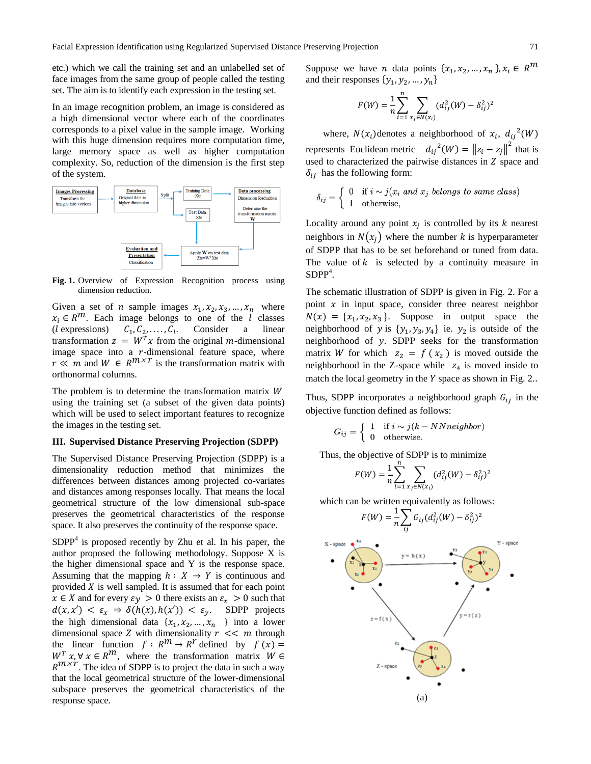etc.) which we call the training set and an unlabelled set of face images from the same group of people called the testing set. The aim is to identify each expression in the testing set.

In an image recognition problem, an image is considered as a high dimensional vector where each of the coordinates corresponds to a pixel value in the sample image. Working with this huge dimension requires more computation time, large memory space as well as higher computation complexity. So, reduction of the dimension is the first step of the system.



**Fig. 1.** Overview of Expression Recognition process using dimension reduction.

Given a set of *n* sample images  $x_1, x_2, x_3, ..., x_n$  where  $x_i \in R^m$ . Each image belongs to one of the l classes (*l* expressions) ,  $C_2$ , . Consider a linear transformation  $z = W^T x$  from the original m-dimensional image space into a  $r$ -dimensional feature space, where  $r \ll m$  and  $W \in R^{m \times r}$  is the transformation matrix with orthonormal columns.

The problem is to determine the transformation matrix  $W$ using the training set (a subset of the given data points) which will be used to select important features to recognize the images in the testing set.

## **III. Supervised Distance Preserving Projection (SDPP)**

The Supervised Distance Preserving Projection (SDPP) is a dimensionality reduction method that minimizes the differences between distances among projected co-variates and distances among responses locally. That means the local geometrical structure of the low dimensional sub-space preserves the geometrical characteristics of the response space. It also preserves the continuity of the response space.

 $SDPP<sup>4</sup>$  is proposed recently by Zhu et al. In his paper, the author proposed the following methodology. Suppose X is the higher dimensional space and Y is the response space. Assuming that the mapping  $h: X \rightarrow Y$  is continuous and provided  $X$  is well sampled. It is assumed that for each point  $x \in X$  and for every  $\varepsilon_y > 0$  there exists an  $\varepsilon_x > 0$  such that  $d(x, x') < \varepsilon_x \Rightarrow \delta(h(x), h(x')) < \varepsilon_y$ . SDPP projects the high dimensional data  $\{x_1, x_2, ..., x_n\}$  into a lower dimensional space Z with dimensionality  $r \ll m$  through the linear function  $f: R^m \to R^r$  defined by  $W^T$   $x, \forall x \in R^m$ , where the transformation matrix  $W \in$  $R^{m \times r}$ . The idea of SDPP is to project the data in such a way that the local geometrical structure of the lower-dimensional subspace preserves the geometrical characteristics of the response space.

Suppose we have *n* data points  $\{x_1, x_2, ..., x_n\}$ , and their responses  $\{y_1, y_2, ..., y_n\}$ 

$$
F(W) = \frac{1}{n} \sum_{i=1}^{n} \sum_{x_j \in N(x_i)} (d_{ij}^2(W) - \delta_{ij}^2)^2
$$

where,  $N(x_i)$  denotes a neighborhood of  $x_i$ ,  $d_{ii}^2$ represents Euclidean metric  $d_{ij}^{2}(W) = ||z_i - z_j||^2$  that is used to characterized the pairwise distances in Z space and  $\delta_{ij}$  has the following form:

$$
\delta_{ij} = \begin{cases} 0 & \text{if } i \sim j(x_i \text{ and } x_j \text{ belongs to same class}) \\ 1 & \text{otherwise,} \end{cases}
$$

Locality around any point  $x_i$  is controlled by its  $k$  nearest neighbors in  $N(x_i)$  where the number k is hyperparameter of SDPP that has to be set beforehand or tuned from data. The value of  $k$  is selected by a continuity measure in  $SDPP<sup>4</sup>$ .

The schematic illustration of SDPP is given in Fig. 2. For a point  $x$  in input space, consider three nearest neighbor  $N(x) = \{x_1, x_2, x_3\}$ . Suppose in output space the neighborhood of y is  $\{y_1, y_3, y_4\}$  ie.  $y_2$  is outside of the neighborhood of  $y$ . SDPP seeks for the transformation matrix W for which  $z_2 = f(x_2)$  is moved outside the neighborhood in the Z-space while  $z_4$  is moved inside to match the local geometry in the  $Y$  space as shown in Fig. 2..

Thus, SDPP incorporates a neighborhood graph  $G_{ij}$  in the objective function defined as follows:

$$
G_{ij} = \begin{cases} 1 & \text{if } i \sim j(k - NNneighbor) \\ 0 & \text{otherwise.} \end{cases}
$$

Thus, the objective of SDPP is to minimize

$$
F(W) = \frac{1}{n} \sum_{i=1}^{n} \sum_{x_j \in N(x_i)} (d_{ij}^2(W) - \delta_{ij}^2)^2
$$

which can be written equivalently as follows:

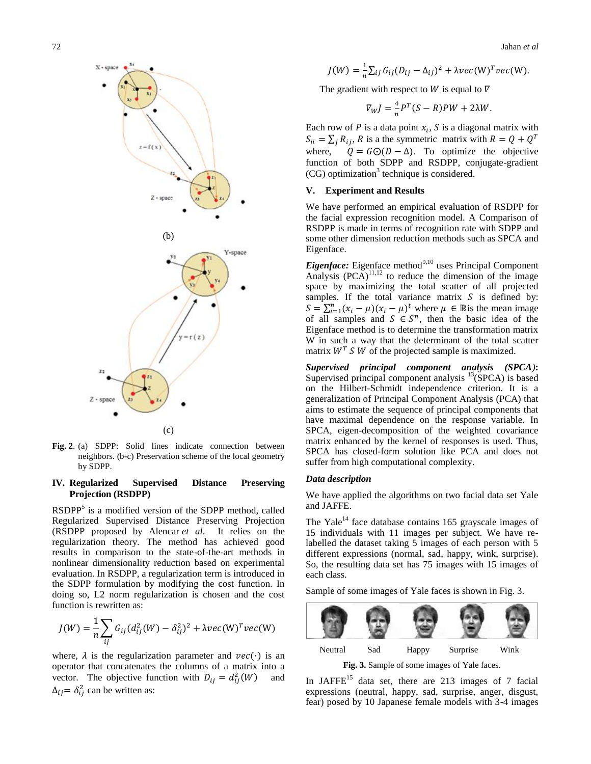

**Fig. 2**. (a) SDPP: Solid lines indicate connection between neighbors. (b-c) Preservation scheme of the local geometry by SDPP.

## **IV. Regularized Supervised Distance Preserving Projection (RSDPP)**

RSDPP<sup>5</sup> is a modified version of the SDPP method, called Regularized Supervised Distance Preserving Projection (RSDPP proposed by Alencar *et al*. It relies on the regularization theory. The method has achieved good results in comparison to the state-of-the-art methods in nonlinear dimensionality reduction based on experimental evaluation. In RSDPP, a regularization term is introduced in the SDPP formulation by modifying the cost function. In doing so, L2 norm regularization is chosen and the cost function is rewritten as:

$$
J(W) = \frac{1}{n} \sum_{ij} G_{ij} (d_{ij}^2(W) - \delta_{ij}^2)^2 + \lambda vec(W)^T vec(W)
$$

where,  $\lambda$  is the regularization parameter and  $vec(\cdot)$  is an operator that concatenates the columns of a matrix into a vector. The objective function with  $D_{ij} = d_{ij}^2(W)$  and  $\Delta_{ij} = \delta_{ij}^2$  can be written as:

$$
J(W) = \frac{1}{n} \sum_{ij} G_{ij} (D_{ij} - \Delta_{ij})^2 + \lambda vec(W)^T vec(W).
$$

The gradient with respect to W is equal to  $\nabla$ 

$$
\nabla_W J = \frac{4}{n} P^T (S - R) P W + 2\lambda W.
$$

Each row of P is a data point  $x_i$ , S is a diagonal matrix with  $S_{ii} = \sum_j R_{ij}$ , R is a the symmetric matrix with  $R = Q + Q^T$ where,  $Q = GQ(D - \Delta)$ . To optimize the objective function of both SDPP and RSDPP, conjugate-gradient  $(CG)$  optimization<sup>3</sup> technique is considered.

## **V. Experiment and Results**

We have performed an empirical evaluation of RSDPP for the facial expression recognition model. A Comparison of RSDPP is made in terms of recognition rate with SDPP and some other dimension reduction methods such as SPCA and Eigenface.

*Eigenface:* Eigenface method<sup>9,10</sup> uses Principal Component Analysis  $(PCA)^{11,12}$  to reduce the dimension of the image space by maximizing the total scatter of all projected samples. If the total variance matrix  $S$  is defined by:  $S = \sum_{i=1}^{n} (x_i - \mu)(x_i - \mu)^t$  where  $\mu \in \mathbb{R}$  is the mean image of all samples and  $S \in S^n$ , then the basic idea of the Eigenface method is to determine the transformation matrix W in such a way that the determinant of the total scatter matrix  $W^T S W$  of the projected sample is maximized.

*Supervised principal component analysis (SPCA)***:**  Supervised principal component analysis  ${}^{13}$ (SPCA) is based on the Hilbert-Schmidt independence criterion. It is a generalization of Principal Component Analysis (PCA) that aims to estimate the sequence of principal components that have maximal dependence on the response variable. In SPCA, eigen-decomposition of the weighted covariance matrix enhanced by the kernel of responses is used. Thus, SPCA has closed-form solution like PCA and does not suffer from high computational complexity.

## *Data description*

We have applied the algorithms on two facial data set Yale and JAFFE.

The Yale<sup>14</sup> face database contains 165 grayscale images of 15 individuals with 11 images per subject. We have relabelled the dataset taking 5 images of each person with 5 different expressions (normal, sad, happy, wink, surprise). So, the resulting data set has 75 images with 15 images of each class.

Sample of some images of Yale faces is shown in Fig. 3.



**Fig. 3.** Sample of some images of Yale faces.

In JAFFE $15$  data set, there are 213 images of 7 facial expressions (neutral, happy, sad, surprise, anger, disgust, fear) posed by 10 Japanese female models with 3-4 images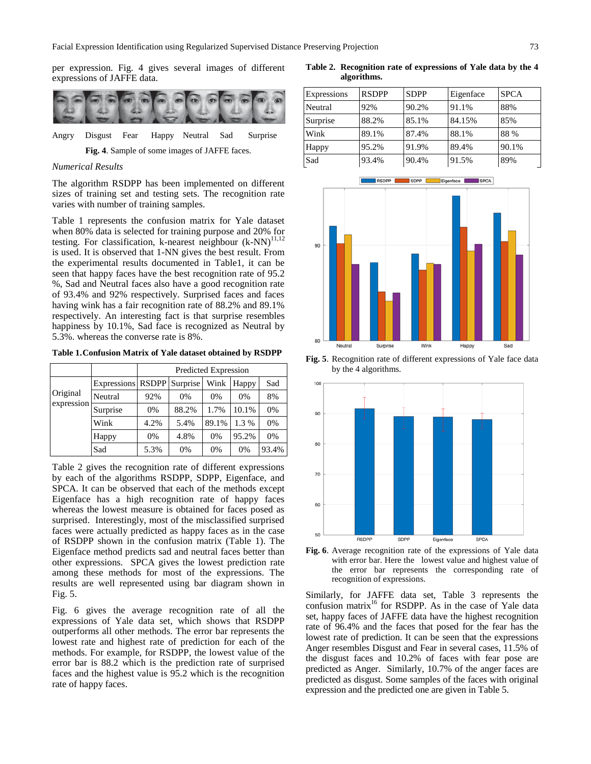per expression. Fig. 4 gives several images of different expressions of JAFFE data.



Angry Disgust Fear Happy Neutral Sad Surprise

**Fig. 4**. Sample of some images of JAFFE faces.

#### *Numerical Results*

The algorithm RSDPP has been implemented on different sizes of training set and testing sets. The recognition rate varies with number of training samples.

Table 1 represents the confusion matrix for Yale dataset when 80% data is selected for training purpose and 20% for testing. For classification, k-nearest neighbour  $(k-NN)^{11,12}$ is used. It is observed that 1-NN gives the best result. From the experimental results documented in Table1, it can be seen that happy faces have the best recognition rate of 95.2 %, Sad and Neutral faces also have a good recognition rate of 93.4% and 92% respectively. Surprised faces and faces having wink has a fair recognition rate of 88.2% and 89.1% respectively. An interesting fact is that surprise resembles happiness by 10.1%, Sad face is recognized as Neutral by 5.3%. whereas the converse rate is 8%.

**Table 1.Confusion Matrix of Yale dataset obtained by RSDPP**

|                        |                   | Predicted Expression |          |       |       |       |  |
|------------------------|-------------------|----------------------|----------|-------|-------|-------|--|
|                        | Expressions RSDPP |                      | Surprise | Wink  | Happy | Sad   |  |
| Original<br>expression | Neutral           | 92%                  | 0%       | 0%    | $0\%$ | 8%    |  |
|                        | Surprise          | 0%                   | 88.2%    | 1.7%  | 10.1% | 0%    |  |
|                        | Wink              | 4.2%                 | 5.4%     | 89.1% | 1.3 % | 0%    |  |
|                        | Happy             | 0%                   | 4.8%     | 0%    | 95.2% | 0%    |  |
|                        | Sad               | 5.3%                 | 0%       | 0%    | 0%    | 93.4% |  |

Table 2 gives the recognition rate of different expressions by each of the algorithms RSDPP, SDPP, Eigenface, and SPCA. It can be observed that each of the methods except Eigenface has a high recognition rate of happy faces whereas the lowest measure is obtained for faces posed as surprised. Interestingly, most of the misclassified surprised faces were actually predicted as happy faces as in the case of RSDPP shown in the confusion matrix (Table 1). The Eigenface method predicts sad and neutral faces better than other expressions. SPCA gives the lowest prediction rate among these methods for most of the expressions. The results are well represented using bar diagram shown in Fig. 5.

Fig. 6 gives the average recognition rate of all the expressions of Yale data set, which shows that RSDPP outperforms all other methods. The error bar represents the lowest rate and highest rate of prediction for each of the methods. For example, for RSDPP, the lowest value of the error bar is 88.2 which is the prediction rate of surprised faces and the highest value is 95.2 which is the recognition rate of happy faces.

**Table 2. Recognition rate of expressions of Yale data by the 4 algorithms.**

| Expressions | <b>RSDPP</b> | <b>SDPP</b> | Eigenface | <b>SPCA</b> |
|-------------|--------------|-------------|-----------|-------------|
| Neutral     | 92%          | 90.2%       | 91.1%     | 88%         |
| Surprise    | 88.2%        | 85.1%       | 84.15%    | 85%         |
| Wink        | 89.1%        | 87.4%       | 88.1%     | 88 %        |
| Happy       | 95.2%        | 91.9%       | 89.4%     | 90.1%       |
| Sad         | 93.4%        | 90.4%       | 91.5%     | 89%         |



**Fig. 5**. Recognition rate of different expressions of Yale face data by the 4 algorithms.





Similarly, for JAFFE data set, Table 3 represents the confusion matrix<sup>16</sup> for RSDPP. As in the case of Yale data set, happy faces of JAFFE data have the highest recognition rate of 96.4% and the faces that posed for the fear has the lowest rate of prediction. It can be seen that the expressions Anger resembles Disgust and Fear in several cases, 11.5% of the disgust faces and 10.2% of faces with fear pose are predicted as Anger. Similarly, 10.7% of the anger faces are predicted as disgust. Some samples of the faces with original expression and the predicted one are given in Table 5.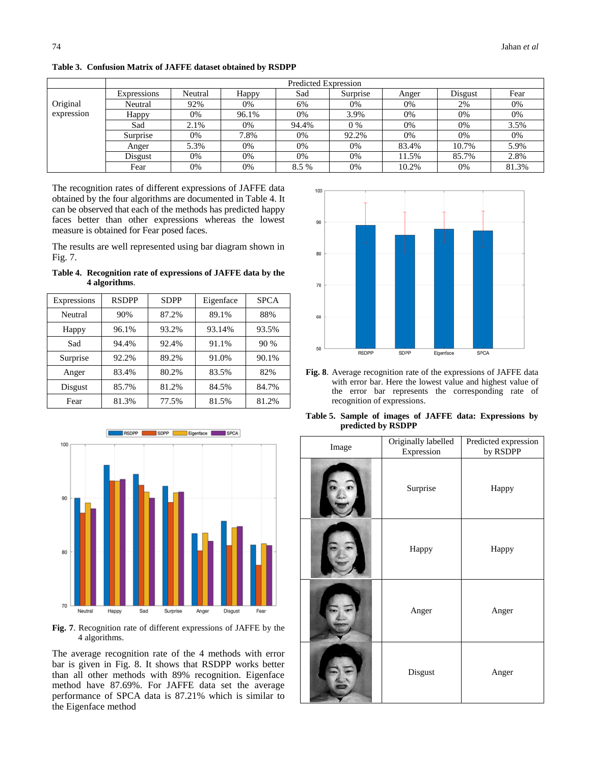|            | Predicted Expression |         |       |       |          |       |         |       |
|------------|----------------------|---------|-------|-------|----------|-------|---------|-------|
|            | Expressions          | Neutral | Happy | Sad   | Surprise | Anger | Disgust | Fear  |
| Original   | Neutral              | 92%     | 0%    | 6%    | 0%       | $0\%$ | 2%      | 0%    |
| expression | Happy                | 0%      | 96.1% | 0%    | 3.9%     | 0%    | $0\%$   | 0%    |
|            | Sad                  | 2.1%    | 0%    | 94.4% | $0\%$    | 0%    | $0\%$   | 3.5%  |
|            | Surprise             | 0%      | 7.8%  | 0%    | 92.2%    | 0%    | $0\%$   | 0%    |
|            | Anger                | 5.3%    | 0%    | 0%    | 0%       | 83.4% | 10.7%   | 5.9%  |
|            | Disgust              | 0%      | 0%    | 0%    | 0%       | 11.5% | 85.7%   | 2.8%  |
|            | Fear                 | 0%      | 0%    | 8.5 % | 0%       | 10.2% | 0%      | 81.3% |

**Table 3. Confusion Matrix of JAFFE dataset obtained by RSDPP**

The recognition rates of different expressions of JAFFE data obtained by the four algorithms are documented in Table 4. It can be observed that each of the methods has predicted happy faces better than other expressions whereas the lowest measure is obtained for Fear posed faces.

The results are well represented using bar diagram shown in Fig. 7.

**Table 4. Recognition rate of expressions of JAFFE data by the 4 algorithms**.

| Expressions | <b>RSDPP</b> | <b>SDPP</b> | Eigenface | <b>SPCA</b> |
|-------------|--------------|-------------|-----------|-------------|
| Neutral     | 90%          | 87.2%       | 89.1%     | 88%         |
| Happy       | 96.1%        | 93.2%       | 93.14%    | 93.5%       |
| Sad         | 94.4%        | 92.4%       | 91.1%     | 90 %        |
| Surprise    | 92.2%        | 89.2%       | 91.0%     | 90.1%       |
| Anger       | 83.4%        | 80.2%       | 83.5%     | 82%         |
| Disgust     | 85.7%        | 81.2%       | 84.5%     | 84.7%       |
| Fear        | 81.3%        | 77.5%       | 81.5%     | 81.2%       |



**Fig. 7**. Recognition rate of different expressions of JAFFE by the 4 algorithms.

The average recognition rate of the 4 methods with error bar is given in Fig. 8. It shows that RSDPP works better than all other methods with 89% recognition. Eigenface method have 87.69%. For JAFFE data set the average performance of SPCA data is 87.21% which is similar to the Eigenface method



**Fig. 8**. Average recognition rate of the expressions of JAFFE data with error bar. Here the lowest value and highest value of the error bar represents the corresponding rate of recognition of expressions.

|                    |  |  | Table 5. Sample of images of JAFFE data: Expressions by |  |
|--------------------|--|--|---------------------------------------------------------|--|
| predicted by RSDPP |  |  |                                                         |  |

| Image | Originally labelled<br>Expression | Predicted expression<br>by RSDPP |  |
|-------|-----------------------------------|----------------------------------|--|
|       | Surprise                          | Happy                            |  |
|       | Happy                             | Happy                            |  |
|       | Anger                             | Anger                            |  |
|       | Disgust                           | Anger                            |  |